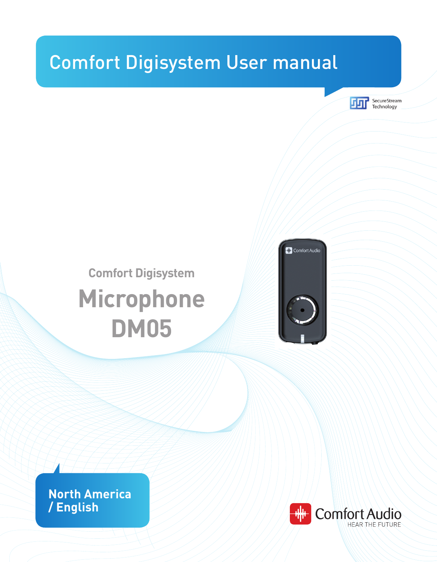# Comfort Digisystem User manual



# **Comfort Digisystem Microphone DM05**



**North America / English**

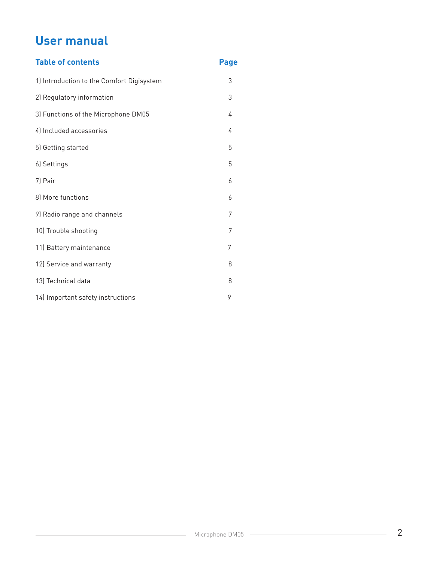# **User manual**

| <b>Table of contents</b>                  | <b>Page</b> |
|-------------------------------------------|-------------|
| 1) Introduction to the Comfort Digisystem | 3           |
| 2) Regulatory information                 | 3           |
| 3) Functions of the Microphone DM05       | 4           |
| 4) Included accessories                   | 4           |
| 5) Getting started                        | 5           |
| 6) Settings                               | 5           |
| 7) Pair                                   | 6           |
| 8) More functions                         | 6           |
| 9) Radio range and channels               | 7           |
| 10) Trouble shooting                      | 7           |
| 11) Battery maintenance                   | 7           |
| 12) Service and warranty                  | 8           |
| 13) Technical data                        | 8           |
| 14) Important safety instructions         | 9           |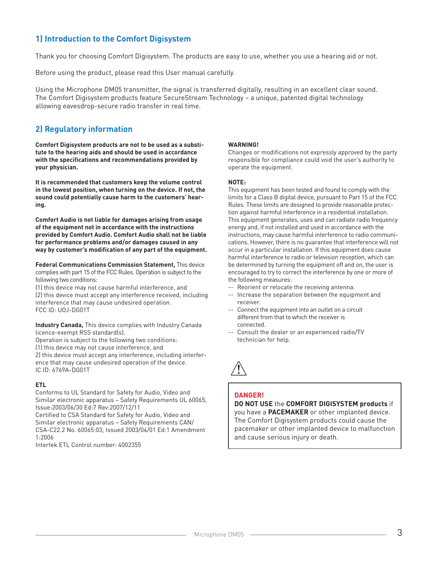## **1) Introduction to the Comfort Digisystem**

Thank you for choosing Comfort Digisystem. The products are easy to use, whether you use a hearing aid or not.

Before using the product, please read this User manual carefully.

Using the Microphone DM05 transmitter, the signal is transferred digitally, resulting in an excellent clear sound. The Comfort Digisystem products feature SecureStream Technology – a unique, patented digital technology allowing eavesdrop-secure radio transfer in real time.

## **2) Regulatory information**

**Comfort Digisystem products are not to be used as a substitute to the hearing aids and should be used in accordance with the specifications and recommendations provided by your physician.**

**It is recommended that customers keep the volume control in the lowest position, when turning on the device. If not, the sound could potentially cause harm to the customers' hearing.** 

**Comfort Audio is not liable for damages arising from usage of the equipment not in accordance with the instructions provided by Comfort Audio. Comfort Audio shall not be liable for performance problems and/or damages caused in any way by customer's modification of any part of the equipment.**

**Federal Communications Commission Statement,** This device complies with part 15 of the FCC Rules. Operation is subject to the following two conditions:

(1) this device may not cause harmful interference, and (2) this device must accept any interference received, including interference that may cause undesired operation. FCC ID: UOJ-DG01T

**Industry Canada,** This device complies with Industry Canada licence-exempt RSS standard(s).

Operation is subject to the following two conditions: (1) this device may not cause interference, and 2) this device must accept any interference, including interference that may cause undesired operation of the device. IC ID: 6769A-DG01T

## **ETL**

Conforms to UL Standard for Safety for Audio, Video and Similar electronic apparatus – Safety Requirements UL 60065, Issue:2003/06/30 Ed:7 Rev:2007/12/11

Certified to CSA Standard for Safety for Audio, Video and Similar electronic apparatus – Safety Requirements CAN/ CSA-C22.2 No. 60065:03, Issued 2003/04/01 Ed:1 Amendment 1:2006

Intertek ETL Control number: 4002355

#### **WARNING!**

Changes or modifications not expressly approved by the party responsible for compliance could void the user's authority to operate the equipment.

#### **NOTE:**

This equipment has been tested and found to comply with the limits for a Class B digital device, pursuant to Part 15 of the FCC Rules. These limits are designed to provide reasonable protection against harmful interference in a residential installation. This equipment generates, uses and can radiate radio frequency energy and, if not installed and used in accordance with the instructions, may cause harmful interference to radio communications. However, there is no guarantee that interference will not occur in a particular installation. If this equipment does cause harmful interference to radio or television reception, which can be determined by turning the equipment off and on, the user is encouraged to try to correct the interference by one or more of the following measures:

- -- Reorient or relocate the receiving antenna.
- -- Increase the separation between the equipment and receiver.
- -- Connect the equipment into an outlet on a circuit different from that to which the receiver is connected.
- -- Consult the dealer or an experienced radio/TV technician for help.

and cause serious injury or death.



## **DANGER!**

**DO NOT USE** the **COMFORT DIGISYSTEM products** if you have a **PACEMAKER** or other implanted device. The Comfort Digisystem products could cause the pacemaker or other implanted device to malfunction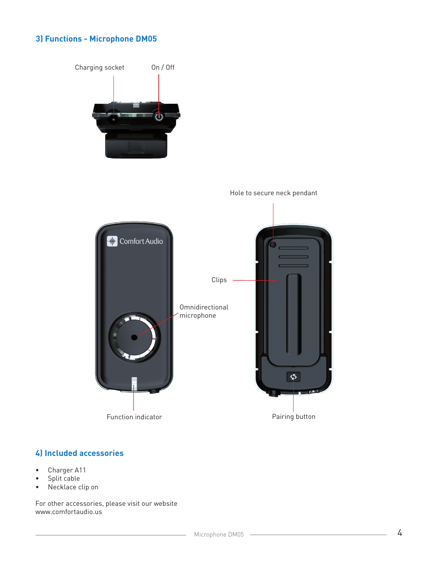## **3) Functions - Microphone DM05**



## **4) Included accessories**

- • Charger A11
- Split cable
- Necklace clip on

For other accessories, please visit our website www.comfortaudio.us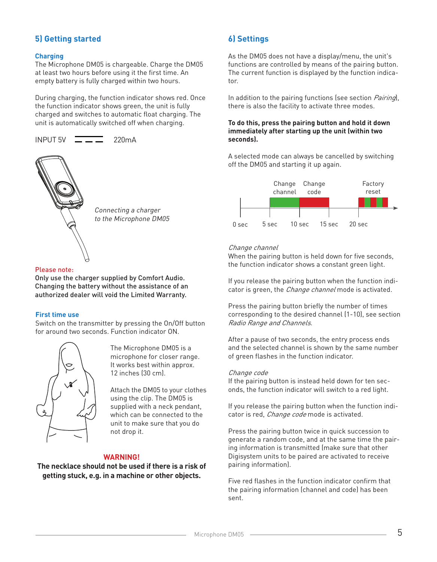## **5) Getting started**

## **Charging**

The Microphone DM05 is chargeable. Charge the DM05 at least two hours before using it the first time. An empty battery is fully charged within two hours.

During charging, the function indicator shows red. Once the function indicator shows green, the unit is fully charged and switches to automatic float charging. The unit is automatically switched off when charging.





Connecting a charger to the Microphone DM05

## Please note:

Only use the charger supplied by Comfort Audio. Changing the battery without the assistance of an authorized dealer will void the Limited Warranty.

## **First time use**

Switch on the transmitter by pressing the On/Off button for around two seconds. Function indicator ON.



 The Microphone DM05 is a microphone for closer range. It works best within approx. 12 inches (30 cm).

 Attach the DM05 to your clothes using the clip. The DM05 is supplied with a neck pendant, which can be connected to the unit to make sure that you do not drop it.

## **WARNING!**

**The necklace should not be used if there is a risk of getting stuck, e.g. in a machine or other objects.**

## **6) Settings**

As the DM05 does not have a display/menu, the unit's functions are controlled by means of the pairing button. The current function is displayed by the function indicator.

In addition to the pairing functions (see section *Pairing*), there is also the facility to activate three modes.

#### **To do this, press the pairing button and hold it down immediately after starting up the unit (within two seconds).**

A selected mode can always be cancelled by switching off the DM05 and starting it up again.



## Change channel

When the pairing button is held down for five seconds, the function indicator shows a constant green light.

If you release the pairing button when the function indicator is green, the *Change channel* mode is activated.

Press the pairing button briefly the number of times corresponding to the desired channel (1-10), see section Radio Range and Channels.

After a pause of two seconds, the entry process ends and the selected channel is shown by the same number of green flashes in the function indicator.

#### Change code

If the pairing button is instead held down for ten seconds, the function indicator will switch to a red light.

If you release the pairing button when the function indicator is red, *Change code* mode is activated.

Press the pairing button twice in quick succession to generate a random code, and at the same time the pairing information is transmitted (make sure that other Digisystem units to be paired are activated to receive pairing information).

Five red flashes in the function indicator confirm that the pairing information (channel and code) has been sent.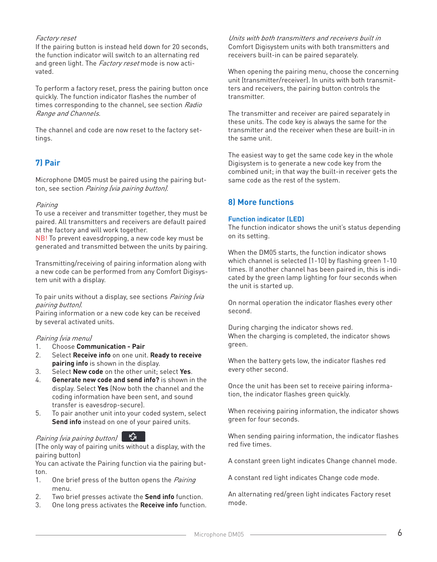## Factory reset

If the pairing button is instead held down for 20 seconds, the function indicator will switch to an alternating red and green light. The *Factory reset* mode is now activated.

To perform a factory reset, press the pairing button once quickly. The function indicator flashes the number of times corresponding to the channel, see section Radio Range and Channels.

The channel and code are now reset to the factory settings.

## **7) Pair**

Microphone DM05 must be paired using the pairing button, see section Pairing (via pairing button).

## Pairing

To use a receiver and transmitter together, they must be paired. All transmitters and receivers are default paired at the factory and will work together.

NB! To prevent eavesdropping, a new code key must be generated and transmitted between the units by pairing.

Transmitting/receiving of pairing information along with a new code can be performed from any Comfort Digisystem unit with a display.

To pair units without a display, see sections Pairing (via pairing button).

Pairing information or a new code key can be received by several activated units.

#### Pairing (via menu)

- 1. Choose **Communication Pair**
- 2. Select **Receive info** on one unit. **Ready to receive pairing info** is shown in the display.
- 3. Select **New code** on the other unit; select **Yes**.
- 4. **Generate new code and send info?** is shown in the display. Select **Yes** (Now both the channel and the coding information have been sent, and sound transfer is eavesdrop-secure).
- 5. To pair another unit into your coded system, select **Send info** instead on one of your paired units.

## Pairing (via pairing button)

(The only way of pairing units without a display, with the pairing button)

You can activate the Pairing function via the pairing button.

- 1. One brief press of the button opens the *Pairing* menu.
- 2. Two brief presses activate the **Send info** function.
- 3. One long press activates the **Receive info** function.

Units with both transmitters and receivers built in Comfort Digisystem units with both transmitters and receivers built-in can be paired separately.

When opening the pairing menu, choose the concerning unit (transmitter/receiver). In units with both transmitters and receivers, the pairing button controls the transmitter.

The transmitter and receiver are paired separately in these units. The code key is always the same for the transmitter and the receiver when these are built-in in the same unit.

The easiest way to get the same code key in the whole Digisystem is to generate a new code key from the combined unit; in that way the built-in receiver gets the same code as the rest of the system.

## **8) More functions**

## **Function indicator (LED)**

The function indicator shows the unit's status depending on its setting.

When the DM05 starts, the function indicator shows which channel is selected (1-10) by flashing green 1-10 times. If another channel has been paired in, this is indicated by the green lamp lighting for four seconds when the unit is started up.

On normal operation the indicator flashes every other second.

During charging the indicator shows red. When the charging is completed, the indicator shows green.

When the battery gets low, the indicator flashes red every other second.

Once the unit has been set to receive pairing information, the indicator flashes green quickly.

When receiving pairing information, the indicator shows green for four seconds.

When sending pairing information, the indicator flashes red five times.

A constant green light indicates Change channel mode.

A constant red light indicates Change code mode.

An alternating red/green light indicates Factory reset mode.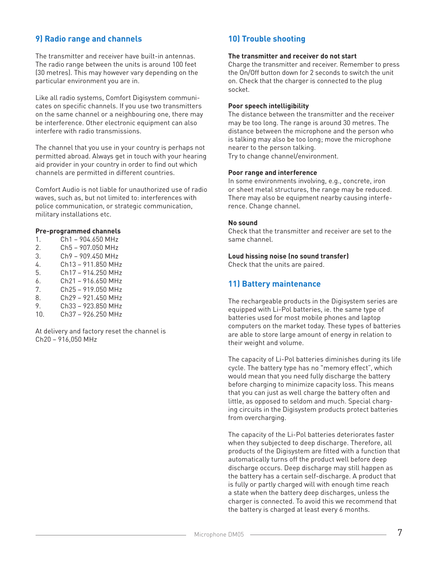## **9) Radio range and channels**

The transmitter and receiver have built-in antennas. The radio range between the units is around 100 feet (30 metres). This may however vary depending on the particular environment you are in.

Like all radio systems, Comfort Digisystem communicates on specific channels. If you use two transmitters on the same channel or a neighbouring one, there may be interference. Other electronic equipment can also interfere with radio transmissions.

The channel that you use in your country is perhaps not permitted abroad. Always get in touch with your hearing aid provider in your country in order to find out which channels are permitted in different countries.

Comfort Audio is not liable for unauthorized use of radio waves, such as, but not limited to: interferences with police communication, or strategic communication, military installations etc.

### **Pre-programmed channels**

1. Ch1 – 904.650 MHz 2. Ch5 – 907.050 MHz 3. Ch9 – 909.450 MHz 4. Ch13 – 911.850 MHz 5. Ch17 – 914.250 MHz  $6.$  Ch<sub>21</sub> – 916.650 MHz 7. Ch25 – 919.050 MHz 8. Ch29 – 921.450 MHz 9. Ch33 – 923.850 MHz 10. Ch37 – 926.250 MHz

At delivery and factory reset the channel is Ch20 – 916,050 MHz

## **10) Trouble shooting**

#### **The transmitter and receiver do not start**

Charge the transmitter and receiver. Remember to press the On/Off button down for 2 seconds to switch the unit on. Check that the charger is connected to the plug socket.

#### **Poor speech intelligibility**

The distance between the transmitter and the receiver may be too long. The range is around 30 metres. The distance between the microphone and the person who is talking may also be too long; move the microphone nearer to the person talking.

Try to change channel/environment.

#### **Poor range and interference**

In some environments involving, e.g., concrete, iron or sheet metal structures, the range may be reduced. There may also be equipment nearby causing interference. Change channel.

#### **No sound**

Check that the transmitter and receiver are set to the same channel.

#### **Loud hissing noise (no sound transfer)**

Check that the units are paired.

## **11) Battery maintenance**

The rechargeable products in the Digisystem series are equipped with Li-Pol batteries, ie. the same type of batteries used for most mobile phones and laptop computers on the market today. These types of batteries are able to store large amount of energy in relation to their weight and volume.

The capacity of Li-Pol batteries diminishes during its life cycle. The battery type has no "memory effect", which would mean that you need fully discharge the battery before charging to minimize capacity loss. This means that you can just as well charge the battery often and little, as opposed to seldom and much. Special charging circuits in the Digisystem products protect batteries from overcharging.

The capacity of the Li-Pol batteries deteriorates faster when they subjected to deep discharge. Therefore, all products of the Digisystem are fitted with a function that automatically turns off the product well before deep discharge occurs. Deep discharge may still happen as the battery has a certain self-discharge. A product that is fully or partly charged will with enough time reach a state when the battery deep discharges, unless the charger is connected. To avoid this we recommend that the battery is charged at least every 6 months.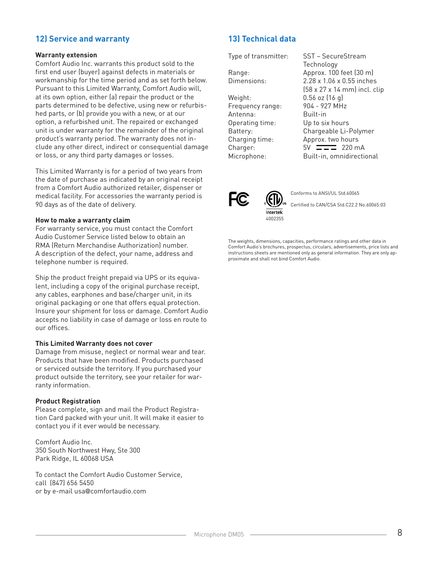## **12) Service and warranty**

#### **Warranty extension**

Comfort Audio Inc. warrants this product sold to the first end user (buyer) against defects in materials or workmanship for the time period and as set forth below. Pursuant to this Limited Warranty, Comfort Audio will, at its own option, either (a) repair the product or the parts determined to be defective, using new or refurbished parts, or (b) provide you with a new, or at our option, a refurbished unit. The repaired or exchanged unit is under warranty for the remainder of the original product's warranty period. The warranty does not include any other direct, indirect or consequential damage or loss, or any third party damages or losses.

This Limited Warranty is for a period of two years from the date of purchase as indicated by an original receipt from a Comfort Audio authorized retailer, dispenser or medical facility. For accessories the warranty period is 90 days as of the date of delivery.

#### **How to make a warranty claim**

For warranty service, you must contact the Comfort Audio Customer Service listed below to obtain an RMA (Return Merchandise Authorization) number. A description of the defect, your name, address and telephone number is required.

Ship the product freight prepaid via UPS or its equivalent, including a copy of the original purchase receipt, any cables, earphones and base/charger unit, in its original packaging or one that offers equal protection. Insure your shipment for loss or damage. Comfort Audio accepts no liability in case of damage or loss en route to our offices.

#### **This Limited Warranty does not cover**

Damage from misuse, neglect or normal wear and tear. Products that have been modified. Products purchased or serviced outside the territory. If you purchased your product outside the territory, see your retailer for warranty information.

#### **Product Registration**

Please complete, sign and mail the Product Registration Card packed with your unit. It will make it easier to contact you if it ever would be necessary.

Comfort Audio Inc. 350 South Northwest Hwy, Ste 300 Park Ridge, IL 60068 USA

To contact the Comfort Audio Customer Service, call (847) 656 5450 or by e-mail usa@comfortaudio.com

## **13) Technical data**

Weight: 0.56 oz (16 g)<br>Frequency range: 904 - 927 MHz Frequency range: Antenna: Built-in Operating time: Up to six hours

Type of transmitter: SST – SecureStream Technology Range: Approx. 100 feet (30 m) Dimensions: 2.28 x 1.06 x 0.55 inches (58 x 27 x 14 mm) incl. clip Battery: Chargeable Li-Polymer Charging time: Approx. two hours Charger:  $5V = 220 \text{ mA}$ Microphone: Built-in, omnidirectional



Conforms to ANSI/UL Std.60065

Certified to CAN/CSA Std.C22.2 No.60065:03

The weights, dimensions, capacities, performance ratings and other data in Comfort Audio's brochures, prospectus, circulars, advertisements, price lists and instructions sheets are mentioned only as general information. They are only approximate and shall not bind Comfort Audio.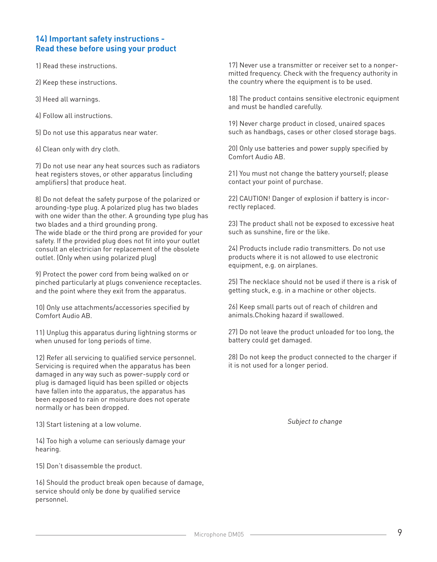## **14) Important safety instructions - Read these before using your product**

1) Read these instructions.

2) Keep these instructions.

3) Heed all warnings.

4) FolIow all instructions.

5) Do not use this apparatus near water.

6) Clean only with dry cloth.

7) Do not use near any heat sources such as radiators heat registers stoves, or other apparatus (including amplifiers) that produce heat.

8) Do not defeat the safety purpose of the polarized or arounding-type plug. A polarized plug has two blades with one wider than the other. A grounding type plug has two blades and a third grounding prong. The wide blade or the third prong are provided for your safety. If the provided plug does not fit into your outlet consult an electrician for replacement of the obsolete outlet. (Only when using polarized plug)

9) Protect the power cord from being walked on or pinched particularly at plugs convenience receptacles. and the point where they exit from the apparatus.

10) Only use attachments/accessories specified by Comfort Audio AB.

11) Unplug this apparatus during Iightning storms or when unused for long periods of time.

12) Refer all servicing to qualified service personnel. Servicing is required when the apparatus has been damaged in any way such as power-supply cord or plug is damaged Iiquid has been spilled or objects have fallen into the apparatus, the apparatus has been exposed to rain or moisture does not operate normally or has been dropped.

13) Start listening at a low volume.

14) Too high a volume can seriously damage your hearing.

15) Don't disassemble the product.

16) Should the product break open because of damage, service should only be done by qualified service personnel.

17) Never use a transmitter or receiver set to a nonpermitted frequency. Check with the frequency authority in the country where the equipment is to be used.

18) The product contains sensitive electronic equipment and must be handled carefully.

19) Never charge product in closed, unaired spaces such as handbags, cases or other closed storage bags.

20) Only use batteries and power supply specified by Comfort Audio AB.

21) You must not change the battery yourself; please contact your point of purchase.

22) CAUTION! Danger of explosion if battery is incorrectly replaced.

23) The product shall not be exposed to excessive heat such as sunshine, fire or the like.

24) Products include radio transmitters. Do not use products where it is not allowed to use electronic equipment, e.g. on airplanes.

25) The necklace should not be used if there is a risk of getting stuck, e.g. in a machine or other objects.

26) Keep small parts out of reach of children and animals.Choking hazard if swallowed.

27) Do not leave the product unloaded for too long, the battery could get damaged.

28) Do not keep the product connected to the charger if it is not used for a longer period.

Subject to change